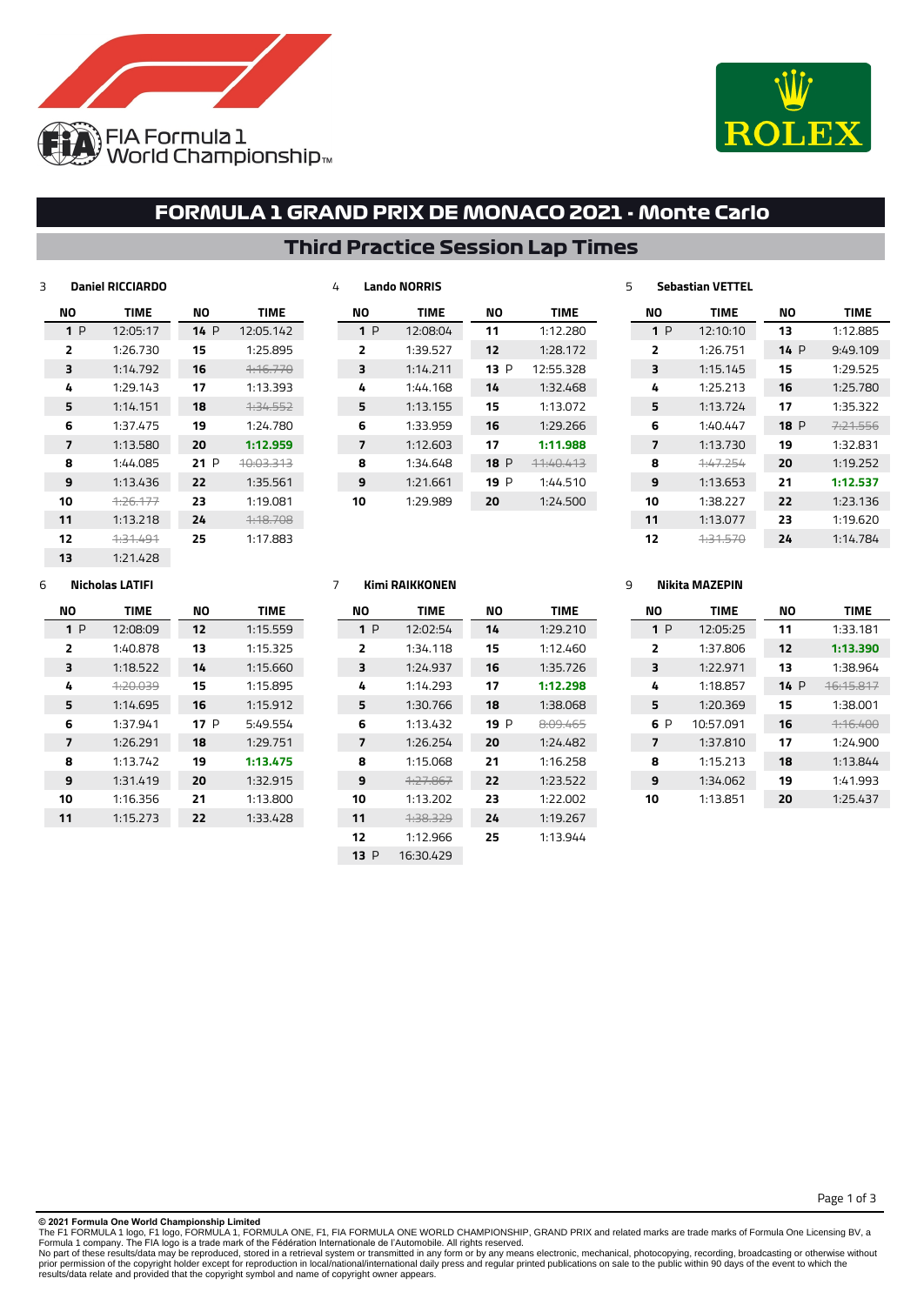



## **FORMULA 1 GRAND PRIX DE MONACO 2021 - Monte Carlo**

## **Third Practice Session Lap Times**

| 3 |    | <b>Daniel RICCIARDO</b> |     |                      |
|---|----|-------------------------|-----|----------------------|
|   | ΝO | <b>TIME</b>             | NΟ  | <b>TIME</b>          |
|   | 1P | 12:05:17                | 14P | 12:05.142            |
|   | 2  | 1:26.730                | 15  | 1:25.895             |
|   | 3  | 1:14.792                | 16  | <del>1:16.770</del>  |
|   | 4  | 1:29.143                | 17  | 1:13.393             |
|   | 5  | 1:14.151                | 18  | 4.34.552             |
|   | 6  | 1:37.475                | 19  | 1:24.780             |
|   | 7  | 1:13.580                | 20  | 1:12.959             |
|   | 8  | 1:44.085                | 21P | <del>10:03.313</del> |
|   | 9  | 1:13.436                | 22  | 1:35.561             |
|   | 10 | 1.26.177                | 23  | 1:19.081             |
|   | 11 | 1:13.218                | 24  | 4:18.708             |
|   | 12 | <del>1:31.491</del>     | 25  | 1:17.883             |
|   | 13 | 1:21.428                |     |                      |

| NΟ | <b>TIME</b> | NΟ   | <b>TIME</b> |
|----|-------------|------|-------------|
| 1P | 12:08:04    | 11   | 1:12.280    |
| 2  | 1:39.527    | 12   | 1:28.172    |
| з  | 1:14.711    | 13 P | 12:55.328   |
| 4  | 1:44.168    | 14   | 1:32.468    |
| 5  | 1:13.155    | 15   | 1:13.072    |
| 6  | 1:33.959    | 16   | 1:29.266    |
| 7  | 1:12.603    | 17   | 1:11.988    |
| 8  | 1:34.648    | 18 P | 11:40.413   |
| 9  | 1:21.661    | 19 P | 1:44.510    |
| 10 | 1:29.989    | 20   | 1:24.500    |
|    |             |      |             |

#### **Sebastian VETTEL NO TIME** 1:12.885 P 9:49.109 1:29.525 1:25.780 1:35.322 P 7:21.556 1:32.831 1:19.252 **1:12.537** 1:23.136 1:19.620 1:14.784 **NO TIME** P 12:10:10 1:26.751 1:15.145 1:25.213 1:13.724 1:40.447 1:13.730 1:47.254 1:13.653 1:38.227 1:13.077 1:31.570

## **Nicholas LATIFI**

| NΟ | <b>TIME</b> | NΟ   | <b>TIME</b> |
|----|-------------|------|-------------|
| 1P | 12:08:09    | 12   | 1:15.559    |
| 2  | 1:40.878    | 13   | 1:15.325    |
| 3  | 1:18.522    | 14   | 1:15.660    |
| 4  | 4:20.039    | 15   | 1:15.895    |
| 5  | 1:14.695    | 16   | 1:15.912    |
| 6  | 1:37.941    | 17 P | 5:49.554    |
| 7  | 1:26.291    | 18   | 1:29.751    |
| 8  | 1:13.742    | 19   | 1:13.475    |
| 9  | 1:31.419    | 20   | 1:32.915    |
| 10 | 1:16.356    | 21   | 1:13.800    |
| 11 | 1:15.273    | 22   | 1:33.428    |
|    |             |      |             |

### **Kimi RAIKKONEN**

**Lando NORRIS**

| NΟ   | <b>TIME</b> | NΟ  | TIME     |
|------|-------------|-----|----------|
| 1P   | 12:02:54    | 14  | 1:29.210 |
| 2    | 1:34.118    | 15  | 1:12.460 |
| 3    | 1:24.937    | 16  | 1:35.726 |
| 4    | 1:14.293    | 17  | 1:12.298 |
| 5    | 1:30.766    | 18  | 1:38.068 |
| 6    | 1:13.432    | 19P | 8:09.465 |
| 7    | 1:26.254    | 20  | 1:24.482 |
| 8    | 1:15.068    | 21  | 1:16.258 |
| 9    | 4.27.867    | 22  | 1:23.522 |
| 10   | 1:13.202    | 23  | 1:22.002 |
| 11   | 1.38.329    | 24  | 1:19.267 |
| 12   | 1:12.966    | 25  | 1:13.944 |
| 13 P | 16:30.429   |     |          |
|      |             |     |          |

### **Nikita MAZEPIN**

| NΟ             | <b>TIME</b> | NΟ  | <b>TIME</b> |
|----------------|-------------|-----|-------------|
| 1P             | 12:05:25    | 11  | 1:33.181    |
| $\overline{2}$ | 1:37.806    | 12  | 1:13.390    |
| 3              | 1:22.971    | 13  | 1:38.964    |
| 4              | 1:18.857    | 14P | 16:15.817   |
| 5              | 1:20.369    | 15  | 1:38.001    |
| 6 P            | 10:57.091   | 16  | 4:16.400    |
| 7              | 1:37.810    | 17  | 1:24.900    |
| 8              | 1:15.213    | 18  | 1:13.844    |
| 9              | 1:34.062    | 19  | 1:41.993    |
| 10             | 1:13.851    | 20  | 1:25.437    |

Page 1 of 3

**© 2021 Formula One World Championship Limited**

The F1 FORMULA 1 logo, F1 logo, FORMULA 1, FORMULA ONE, F1, FIA FORMULA ONE WORLD CHAMPIONSHIP, GRAND PRIX and related marks are trade marks of Formula One Licensing BV, a<br>Formula 1 company. The FIA logo is a trade mark of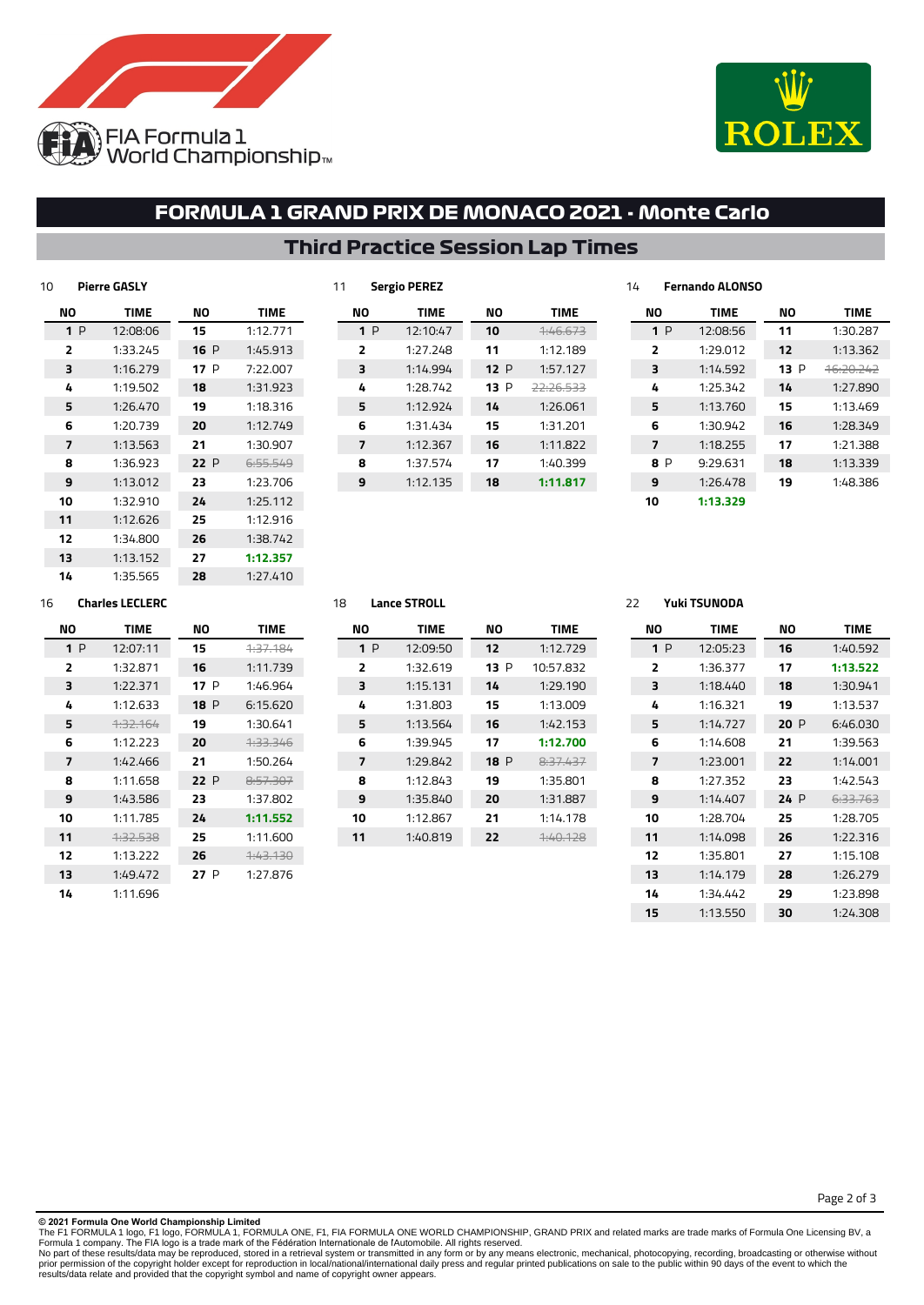

 1:38.742 **1:12.357** 1:27.410



## **FORMULA 1 GRAND PRIX DE MONACO 2021 - Monte Carlo**

|     |             | 11  | <b>Sergio PEREZ</b> |     |             | 14  | <b>Fernando ALONSO</b> |     |             |
|-----|-------------|-----|---------------------|-----|-------------|-----|------------------------|-----|-------------|
| ΝO  | <b>TIME</b> | NO. | <b>TIME</b>         | ΝO  | <b>TIME</b> | NO  | <b>TIME</b>            | ΝO  | <b>TIME</b> |
| 15  | 1:12.771    | 1P  | 12:10:47            | 10  | 1:46.673    | 1P  | 12:08:56               | 11  | 1:30.287    |
| 16P | 1:45.913    | 2   | 1:27.248            | 11  | 1:12.189    | 2   | 1:29.012               | 12  | 1:13.362    |
| 17P | 7:22.007    | 3   | 1:14.994            | 12P | 1:57.127    | 3   | 1:14.592               | 13P | 16:20.242   |
| 18  | 1:31.923    | 4   | 1:28.742            | 13P | 22:26.533   | 4   | 1:25.342               | 14  | 1:27.890    |
| 19  | 1:18.316    | 5   | 1:12.924            | 14  | 1:26.061    | 5   | 1:13.760               | 15  | 1:13.469    |
| 20  | 1:12.749    | 6   | 1:31.434            | 15  | 1:31.201    | 6   | 1:30.942               | 16  | 1:28.349    |
| 21  | 1:30.907    | 7   | 1:12.367            | 16  | 1:11.822    | 7   | 1:18.255               | 17  | 1:21.388    |
| 22P | 6:55.549    | 8   | 1:37.574            | 17  | 1:40.399    | 8 P | 9:29.631               | 18  | 1:13.339    |
| 23  | 1:23.706    | 9   | 1:12.135            | 18  | 1:11.817    | 9   | 1:26.478               | 19  | 1:48.386    |
| 24  | 1:25.112    |     |                     |     |             | 10  | 1:13.329               |     |             |
| 25  | 1:12.916    |     |                     |     |             |     |                        |     |             |

## **Third Practice Session Lap Times**

| 14 | 1:35.565               |
|----|------------------------|
| 16 | <b>Charles LECLERC</b> |

**Pierre GASLY**

**NO TIME** P 12:08:06 1:33.245 1:16.279 1:19.502 1:26.470 1:20.739 1:13.563 1:36.923 1:13.012 1:32.910 1:12.626 1:34.800 1:13.152

| NΟ             | <b>TIME</b> | NΟ   | TIME             |
|----------------|-------------|------|------------------|
| 1P             | 12:07:11    | 15   | 1.37.194         |
| $\overline{2}$ | 1:32.871    | 16   | 1:11.739         |
| 3              | 1:22.371    | 17 P | 1:46.964         |
| 4              | 1:12.633    | 18 P | 6:15.620         |
| 5              | 1.32.164    | 19   | 1:30.641         |
| 6              | 1:12.223    | 20   | 1.33.346         |
| 7              | 1:42.466    | 21   | 1:50.264         |
| 8              | 1:11.658    | 22 P | 8.57.307         |
| 9              | 1:43.586    | 23   | 1:37.802         |
| 10             | 1:11.785    | 24   | 1:11.552         |
| 11             | 4:32.538    | 25   | 1:11.600         |
| 12             | 1:13.222    | 26   | <u> 1:43.130</u> |
| 13             | 1:49.472    | 27 P | 1:27.876         |
| 14             | 1:11.696    |      |                  |

### **Lance STROLL**

| NΟ             | <b>TIME</b> | NΟ          | <b>TIME</b>         |
|----------------|-------------|-------------|---------------------|
| 1P             | 12:09:50    | 12          | 1:12.729            |
| $\overline{2}$ | 1:32.619    | 13 P        | 10:57.832           |
| 3              | 1:15.131    | 14          | 1:29.190            |
| 4              | 1:31.803    | 15          | 1:13.009            |
| 5              | 1:13.564    | 16          | 1:42.153            |
| 6              | 1:39.945    | 17          | 1:12.700            |
| 7              | 1:29.842    | <b>18</b> P | 8.37.437            |
| 8              | 1:12.843    | 19          | 1:35.801            |
| 9              | 1:35.840    | 20          | 1:31.887            |
| 10             | 1:12.867    | 21          | 1:14.178            |
| 11             | 1:40.819    | 22          | <del>1:40.128</del> |
|                |             |             |                     |

## **Yuki TSUNODA**

| NΟ                      | <b>TIME</b> | NΟ  | <b>TIME</b> |
|-------------------------|-------------|-----|-------------|
| 1P                      | 12:05:23    | 16  | 1:40.592    |
| $\overline{\mathbf{z}}$ | 1:36.377    | 17  | 1:13.522    |
| 3                       | 1:18.440    | 18  | 1:30.941    |
| 4                       | 1:16.321    | 19  | 1:13.537    |
| 5                       | 1:14.727    | 20P | 6:46.030    |
| 6                       | 1:14.608    | 21  | 1:39.563    |
| 7                       | 1:23.001    | 77  | 1:14.001    |
| я                       | 1:27.352    | 23  | 1:42.543    |
| 9                       | 1:14.407    | 24P | 6:33.763    |
| 10                      | 1:28.704    | 25  | 1:28.705    |
| 11                      | 1:14.098    | 26  | 1:22.316    |
| 12                      | 1:35.801    | 27  | 1:15.108    |
| 13                      | 1:14.179    | 28  | 1:26.279    |
| 14                      | 1:34.442    | 29  | 1:23.898    |
| 15                      | 1:13.550    | 30  | 1:24.308    |

Page 2 of 3

The F1 FORMULA 1 logo, F1 logo, FORMULA 1, FORMULA ONE, F1, FIA FORMULA ONE WORLD CHAMPIONSHIP, GRAND PRIX and related marks are trade marks of Formula One Licensing BV, a<br>Formula 1 company. The FIA logo is a trade mark of